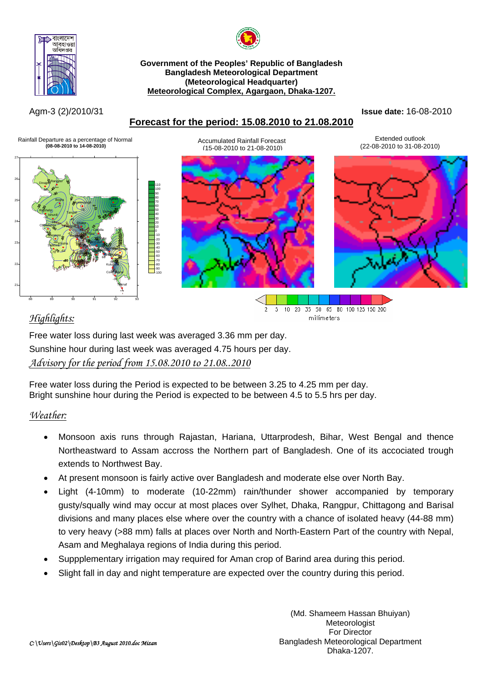



**Government of the Peoples' Republic of Bangladesh Bangladesh Meteorological Department (Meteorological Headquarter) Meteorological Complex, Agargaon, Dhaka-1207.**

# **Forecast for the period: 15.08.2010 to 21.08.2010**

Agm-3 (2)/2010/31 **Issue date:** 16-08-2010



# *Highlights:*

Free water loss during last week was averaged 3.36 mm per day. Sunshine hour during last week was averaged 4.75 hours per day. *Advisory for the period from 15.08.2010 to 21.08..2010*

Free water loss during the Period is expected to be between 3.25 to 4.25 mm per day. Bright sunshine hour during the Period is expected to be between 4.5 to 5.5 hrs per day.

# *Weather:*

- Monsoon axis runs through Rajastan, Hariana, Uttarprodesh, Bihar, West Bengal and thence Northeastward to Assam accross the Northern part of Bangladesh. One of its accociated trough extends to Northwest Bay.
- At present monsoon is fairly active over Bangladesh and moderate else over North Bay.
- Light (4-10mm) to moderate (10-22mm) rain/thunder shower accompanied by temporary gusty/squally wind may occur at most places over Sylhet, Dhaka, Rangpur, Chittagong and Barisal divisions and many places else where over the country with a chance of isolated heavy (44-88 mm) to very heavy (>88 mm) falls at places over North and North-Eastern Part of the country with Nepal, Asam and Meghalaya regions of India during this period.
- Suppplementary irrigation may required for Aman crop of Barind area during this period.
- Slight fall in day and night temperature are expected over the country during this period.

millimeters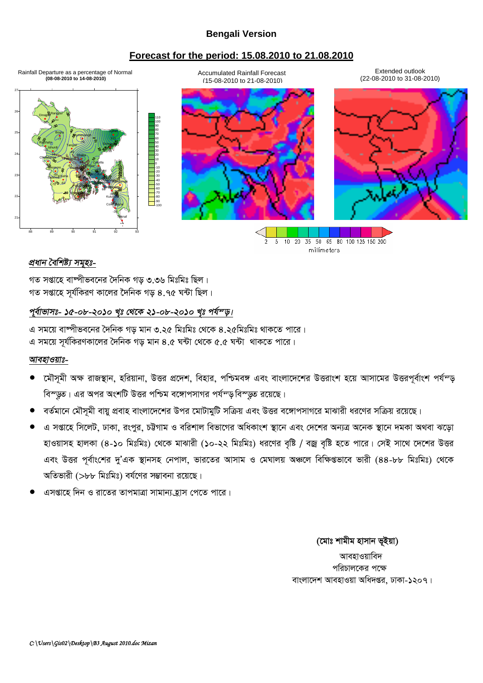#### **Bengali Version**

#### **Forecast for the period: 15.08.2010 to 21.08.2010**

21 22 23 24 25 26 27 Dinajpur Rangpur -10<br>
-20<br>
-30<br>
-40<br>
-50<br>
-90<br>
-100<br>
-100 10 20 30 40 50 60 70 80 90 100 110  $\mathcal{S}^*$  -58 Bogra Mymensingh 1111 Rajshahi -76 Srimongal Tangail Ishurdi -12 <sup>53</sup> -49 Chuadanga -13 Faridpur Madaripur Chattagong Sitakunda Rangamati Coxs<sup>p</sup>Bazar Teknaf Hatiya ndwin **Kutubata** Feni **M.Court** Chandpur 47 / Comilla Khulna  $\frac{1}{2}$ essore  $\frac{1}{2}$ -12 Satkhira - 81 **Bholando** 198 109 - 61 Patuara - 61 Patuara - 61 Patuara - 61 Patuara - 61 Patuara - 61 Patuara - 61 Patuara - 61 Patuara -<br>1980 - 61 Patuara - 61 Patuara - 61 Patuara - 61 Patuara - 61 Patuara - 61 Patuara - 61 Patuara - 61 Patuara --78 53 -39 \*\*\* Accumulated Rainfall Forecast (15-08-2010 to 21-08-2010) Extended outlook (22-08-2010 to 31-08-2010) Rainfall Departure as a percentage of Normal  **(08-08-2010 to 14-08-2010)**

> 35 50 65 80 100 125 150 200  $\overline{5}$  $10$ 20 millimeters

### *প্ৰধান বৈশিষ্ট্য সমূহঃ-*

88 89 90 91 92 93

গত সপ্তাহে বাষ্পীভবনের দৈনিক গড ৩.৩৬ মিঃমিঃ ছিল। গত সপ্তাহে সূর্যকিরণ কালের দৈনিক গড় ৪.৭৫ ঘন্টা ছিল।

#### <u>পূর্বাভাসঃ- ১৫-০৮-২০১০ খৃঃ থেকে ২১-০৮-২০১০ খৃঃ পর্যন্ড়।</u>

এ সময়ে বাম্পীভবনের দৈনিক গড় মান ৩.২৫ মিঃমিঃ থেকে ৪.২৫মিঃমিঃ থাকতে পারে। এ সময়ে সর্যকিরণকালের দৈনিক গড় মান ৪.৫ ঘন্টা থেকে ৫.৫ ঘন্টা থাকতে পারে।

#### *আবহাওয়াঃ-*

- কৌসমী অক্ষ রাজস্থান, হরিয়ানা, উত্তর প্রদেশ, বিহার, পশ্চিমবঙ্গ এবং বাংলাদেশের উত্তরাংশ হয়ে আসামের উত্তরপূর্বাংশ পর্যম্ড বিস্ডুত। এর অপর অংশটি উত্তর পশ্চিম বঙ্গোপসাগর পর্যন্ড বিস্ডুত রয়েছে।
- বর্তমানে মৌসমী বায়ু প্রবাহ বাংলাদেশের উপর মোটামুটি সক্রিয় এবং উত্তর বঙ্গোপসাগরে মাঝারী ধরণের সক্রিয় রয়েছে।
- এ সপ্তাহে সিলেট, ঢাকা, রংপুর, চট্টগাম ও বরিশাল বিভাগের অধিকাংশ স্থানে এবং দেশের অন্যত্র অনেক স্থানে দমকা অথবা ঝড়ো হাওয়াসহ হালকা (৪-১০ মিঃমিঃ) থেকে মাঝারী (১০-২২ মিঃমিঃ) ধরণের বৃষ্টি / বজ্র বৃষ্টি হতে পারে। সেই সাথে দেশের উত্তর এবং উত্তর পূর্বাংশের দু'এক স্থানসহ নেপাল, ভারতের আসাম ও মেঘালয় অঞ্চলে বিক্ষিপ্তভাবে ভারী (৪৪-৮৮ মিঃমিঃ) থেকে অতিভারী ( $>$ ৮৮ মিঃমিঃ) বর্ষণের সম্ভাবনা রয়েছে।
- এসপ্তাহে দিন ও রাতের তাপমাত্রা সামান্য হ্রাস পেতে পারে।

*(*মোঃ শামীম হাসান ভূইয়া) আবহাওয়াবিদ পরিচালকের পক্ষে বাংলাদেশ আবহাওয়া অধিদপ্তর, ঢাকা-১২০৭।